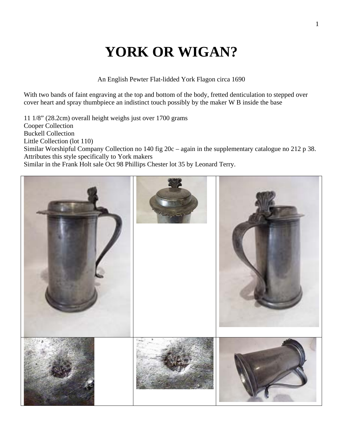## **YORK OR WIGAN?**

An English Pewter Flat-lidded York Flagon circa 1690

With two bands of faint engraving at the top and bottom of the body, fretted denticulation to stepped over cover heart and spray thumbpiece an indistinct touch possibly by the maker W B inside the base

11 1/8" (28.2cm) overall height weighs just over 1700 grams Cooper Collection Buckell Collection Little Collection (lot 110) Similar Worshipful Company Collection no 140 fig 20c – again in the supplementary catalogue no 212 p 38. Attributes this style specifically to York makers Similar in the Frank Holt sale Oct 98 Phillips Chester lot 35 by Leonard Terry.